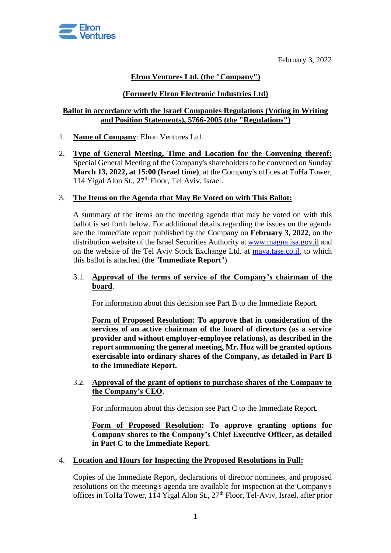

February 3, 2022

# **Elron Ventures Ltd. (the "Company")**

# **(Formerly Elron Electronic Industries Ltd)**

## **Ballot in accordance with the Israel Companies Regulations (Voting in Writing and Position Statements), 5766-2005 (the "Regulations")**

- 1. **Name of Company**: Elron Ventures Ltd.
- 2. **Type of General Meeting, Time and Location for the Convening thereof:** Special General Meeting of the Company's shareholders to be convened on Sunday **March 13, 2022, at 15:00 (Israel time)**, at the Company's offices at ToHa Tower, 114 Yigal Alon St., 27<sup>th</sup> Floor, Tel Aviv, Israel.

### 3. **The Items on the Agenda that May Be Voted on with This Ballot:**

A summary of the items on the meeting agenda that may be voted on with this ballot is set forth below. For additional details regarding the issues on the agenda see the immediate report published by the Company on **February 3, 2022**, on the distribution website of the Israel Securities Authority a[t www.magna.isa.gov.il](http://www.magna.isa.gov.il/) and on the website of the Tel Aviv Stock Exchange Ltd. at [maya.tase.co.il,](https://maya.tase.co.il/) to which this ballot is attached (the "**Immediate Report**").

### 3.1. **Approval of the terms of service of the Company's chairman of the board**.

For information about this decision see Part B to the Immediate Report.

**Form of Proposed Resolution: To approve that in consideration of the services of an active chairman of the board of directors (as a service provider and without employer-employee relations), as described in the report summoning the general meeting, Mr. Hoz will be granted options exercisable into ordinary shares of the Company, as detailed in Part B to the Immediate Report.**

3.2. **Approval of the grant of options to purchase shares of the Company to the Company's CEO**.

For information about this decision see Part C to the Immediate Report.

**Form of Proposed Resolution: To approve granting options for Company shares to the Company's Chief Executive Officer, as detailed in Part C to the Immediate Report.**

#### 4. **Location and Hours for Inspecting the Proposed Resolutions in Full:**

Copies of the Immediate Report, declarations of director nominees, and proposed resolutions on the meeting's agenda are available for inspection at the Company's offices in ToHa Tower, 114 Yigal Alon St., 27th Floor, Tel-Aviv, Israel, after prior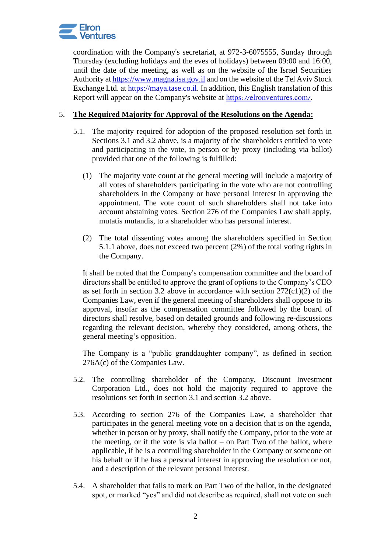

coordination with the Company's secretariat, at 972-3-6075555, Sunday through Thursday (excluding holidays and the eves of holidays) between 09:00 and 16:00, until the date of the meeting, as well as on the website of the Israel Securities Authority a[t https://www.magna.isa.gov.il](https://www.magna.isa.gov.il/) and on the website of the Tel Aviv Stock Exchange Ltd. at [https://maya.tase.co.il.](https://maya.tase.co.il/) In addition, this English translation of this Report will appear on the Company's website at <https://elronventures.com/>.

## 5. **The Required Majority for Approval of the Resolutions on the Agenda:**

- 5.1. The majority required for adoption of the proposed resolution set forth in Sections 3.1 and 3.2 above, is a majority of the shareholders entitled to vote and participating in the vote, in person or by proxy (including via ballot) provided that one of the following is fulfilled:
	- (1) The majority vote count at the general meeting will include a majority of all votes of shareholders participating in the vote who are not controlling shareholders in the Company or have personal interest in approving the appointment. The vote count of such shareholders shall not take into account abstaining votes. Section 276 of the Companies Law shall apply, mutatis mutandis, to a shareholder who has personal interest.
	- (2) The total dissenting votes among the shareholders specified in Section 5.1.1 above, does not exceed two percent (2%) of the total voting rights in the Company.

It shall be noted that the Company's compensation committee and the board of directors shall be entitled to approve the grant of options to the Company's CEO as set forth in section 3.2 above in accordance with section  $272(c1)(2)$  of the Companies Law, even if the general meeting of shareholders shall oppose to its approval, insofar as the compensation committee followed by the board of directors shall resolve, based on detailed grounds and following re-discussions regarding the relevant decision, whereby they considered, among others, the general meeting's opposition.

The Company is a "public granddaughter company", as defined in section 276A(c) of the Companies Law.

- 5.2. The controlling shareholder of the Company, Discount Investment Corporation Ltd., does not hold the majority required to approve the resolutions set forth in section 3.1 and section 3.2 above.
- 5.3. According to section 276 of the Companies Law, a shareholder that participates in the general meeting vote on a decision that is on the agenda, whether in person or by proxy, shall notify the Company, prior to the vote at the meeting, or if the vote is via ballot – on Part Two of the ballot, where applicable, if he is a controlling shareholder in the Company or someone on his behalf or if he has a personal interest in approving the resolution or not, and a description of the relevant personal interest.
- 5.4. A shareholder that fails to mark on Part Two of the ballot, in the designated spot, or marked "yes" and did not describe as required, shall not vote on such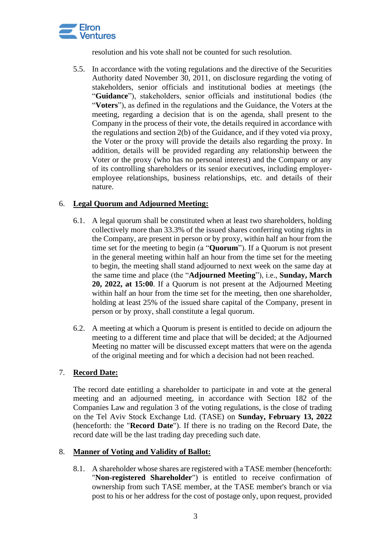

resolution and his vote shall not be counted for such resolution.

5.5. In accordance with the voting regulations and the directive of the Securities Authority dated November 30, 2011, on disclosure regarding the voting of stakeholders, senior officials and institutional bodies at meetings (the "**Guidance**"), stakeholders, senior officials and institutional bodies (the "**Voters**"), as defined in the regulations and the Guidance, the Voters at the meeting, regarding a decision that is on the agenda, shall present to the Company in the process of their vote, the details required in accordance with the regulations and section 2(b) of the Guidance, and if they voted via proxy, the Voter or the proxy will provide the details also regarding the proxy. In addition, details will be provided regarding any relationship between the Voter or the proxy (who has no personal interest) and the Company or any of its controlling shareholders or its senior executives, including employeremployee relationships, business relationships, etc. and details of their nature.

# 6. **Legal Quorum and Adjourned Meeting:**

- 6.1. A legal quorum shall be constituted when at least two shareholders, holding collectively more than 33.3% of the issued shares conferring voting rights in the Company, are present in person or by proxy, within half an hour from the time set for the meeting to begin (a "**Quorum**"). If a Quorum is not present in the general meeting within half an hour from the time set for the meeting to begin, the meeting shall stand adjourned to next week on the same day at the same time and place (the "**Adjourned Meeting**"), i.e., **Sunday, March 20, 2022, at 15:00**. If a Quorum is not present at the Adjourned Meeting within half an hour from the time set for the meeting, then one shareholder, holding at least 25% of the issued share capital of the Company, present in person or by proxy, shall constitute a legal quorum.
- 6.2. A meeting at which a Quorum is present is entitled to decide on adjourn the meeting to a different time and place that will be decided; at the Adjourned Meeting no matter will be discussed except matters that were on the agenda of the original meeting and for which a decision had not been reached.

## 7. **Record Date:**

The record date entitling a shareholder to participate in and vote at the general meeting and an adjourned meeting, in accordance with Section 182 of the Companies Law and regulation 3 of the voting regulations, is the close of trading on the Tel Aviv Stock Exchange Ltd. (TASE) on **Sunday, February 13, 2022** (henceforth: the "**Record Date**"). If there is no trading on the Record Date, the record date will be the last trading day preceding such date.

## 8. **Manner of Voting and Validity of Ballot:**

8.1. A shareholder whose shares are registered with a TASE member (henceforth: "**Non-registered Shareholder**") is entitled to receive confirmation of ownership from such TASE member, at the TASE member's branch or via post to his or her address for the cost of postage only, upon request, provided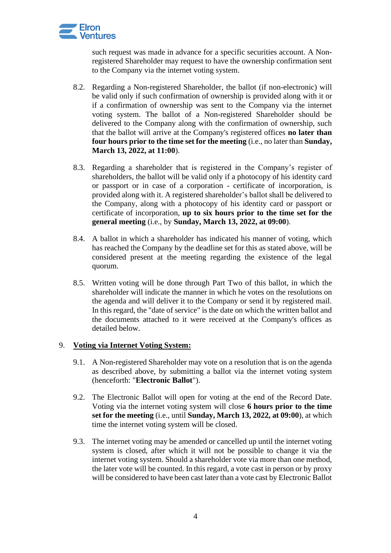

such request was made in advance for a specific securities account. A Nonregistered Shareholder may request to have the ownership confirmation sent to the Company via the internet voting system.

- 8.2. Regarding a Non-registered Shareholder, the ballot (if non-electronic) will be valid only if such confirmation of ownership is provided along with it or if a confirmation of ownership was sent to the Company via the internet voting system. The ballot of a Non-registered Shareholder should be delivered to the Company along with the confirmation of ownership, such that the ballot will arrive at the Company's registered offices **no later than four hours prior to the time set for the meeting** (i.e., no later than **Sunday, March 13, 2022, at 11:00**).
- 8.3. Regarding a shareholder that is registered in the Company's register of shareholders, the ballot will be valid only if a photocopy of his identity card or passport or in case of a corporation - certificate of incorporation, is provided along with it. A registered shareholder's ballot shall be delivered to the Company, along with a photocopy of his identity card or passport or certificate of incorporation, **up to six hours prior to the time set for the general meeting** (i.e., by **Sunday, March 13, 2022, at 09:00**).
- 8.4. A ballot in which a shareholder has indicated his manner of voting, which has reached the Company by the deadline set for this as stated above, will be considered present at the meeting regarding the existence of the legal quorum.
- 8.5. Written voting will be done through Part Two of this ballot, in which the shareholder will indicate the manner in which he votes on the resolutions on the agenda and will deliver it to the Company or send it by registered mail. In this regard, the "date of service" is the date on which the written ballot and the documents attached to it were received at the Company's offices as detailed below.

## 9. **Voting via Internet Voting System:**

- 9.1. A Non-registered Shareholder may vote on a resolution that is on the agenda as described above, by submitting a ballot via the internet voting system (henceforth: "**Electronic Ballot**").
- 9.2. The Electronic Ballot will open for voting at the end of the Record Date. Voting via the internet voting system will close **6 hours prior to the time set for the meeting** (i.e., until **Sunday, March 13, 2022, at 09:00**), at which time the internet voting system will be closed.
- 9.3. The internet voting may be amended or cancelled up until the internet voting system is closed, after which it will not be possible to change it via the internet voting system. Should a shareholder vote via more than one method, the later vote will be counted. In this regard, a vote cast in person or by proxy will be considered to have been cast later than a vote cast by Electronic Ballot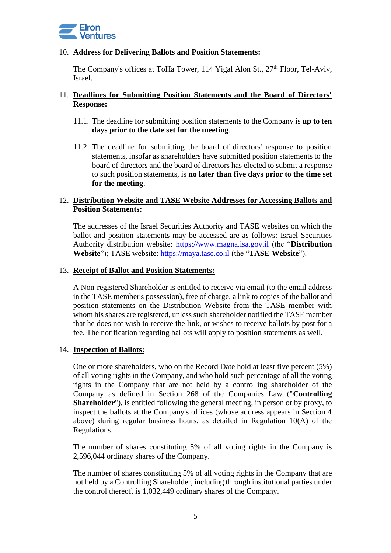

### 10. **Address for Delivering Ballots and Position Statements:**

The Company's offices at ToHa Tower,  $114$  Yigal Alon St.,  $27<sup>th</sup>$  Floor, Tel-Aviv, Israel.

### 11. **Deadlines for Submitting Position Statements and the Board of Directors' Response:**

- 11.1. The deadline for submitting position statements to the Company is **up to ten days prior to the date set for the meeting**.
- 11.2. The deadline for submitting the board of directors' response to position statements, insofar as shareholders have submitted position statements to the board of directors and the board of directors has elected to submit a response to such position statements, is **no later than five days prior to the time set for the meeting**.

### 12. **Distribution Website and TASE Website Addresses for Accessing Ballots and Position Statements:**

The addresses of the Israel Securities Authority and TASE websites on which the ballot and position statements may be accessed are as follows: Israel Securities Authority distribution website: [https://www.magna.isa.gov.il](https://www.magna.isa.gov.il/) (the "**Distribution Website**"); TASE website: [https://maya.tase.co.il](https://maya.tase.co.il/) (the "**TASE Website**").

#### 13. **Receipt of Ballot and Position Statements:**

A Non-registered Shareholder is entitled to receive via email (to the email address in the TASE member's possession), free of charge, a link to copies of the ballot and position statements on the Distribution Website from the TASE member with whom his shares are registered, unless such shareholder notified the TASE member that he does not wish to receive the link, or wishes to receive ballots by post for a fee. The notification regarding ballots will apply to position statements as well.

#### 14. **Inspection of Ballots:**

One or more shareholders, who on the Record Date hold at least five percent (5%) of all voting rights in the Company, and who hold such percentage of all the voting rights in the Company that are not held by a controlling shareholder of the Company as defined in Section 268 of the Companies Law ("**Controlling Shareholder**"), is entitled following the general meeting, in person or by proxy, to inspect the ballots at the Company's offices (whose address appears in Section 4 above) during regular business hours, as detailed in Regulation 10(A) of the Regulations.

The number of shares constituting 5% of all voting rights in the Company is 2,596,044 ordinary shares of the Company.

The number of shares constituting 5% of all voting rights in the Company that are not held by a Controlling Shareholder, including through institutional parties under the control thereof, is 1,032,449 ordinary shares of the Company.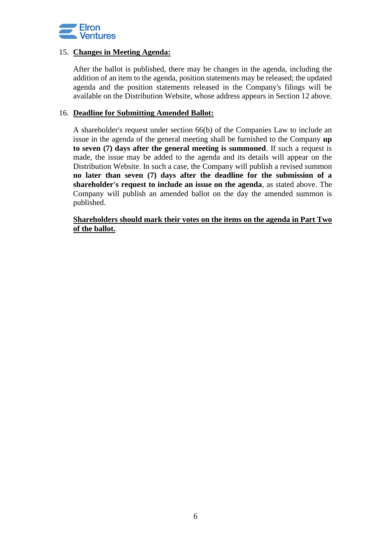

#### 15. **Changes in Meeting Agenda:**

After the ballot is published, there may be changes in the agenda, including the addition of an item to the agenda, position statements may be released; the updated agenda and the position statements released in the Company's filings will be available on the Distribution Website, whose address appears in Section 12 above.

#### 16. **Deadline for Submitting Amended Ballot:**

A shareholder's request under section 66(b) of the Companies Law to include an issue in the agenda of the general meeting shall be furnished to the Company **up to seven (7) days after the general meeting is summoned**. If such a request is made, the issue may be added to the agenda and its details will appear on the Distribution Website. In such a case, the Company will publish a revised summon **no later than seven (7) days after the deadline for the submission of a shareholder's request to include an issue on the agenda**, as stated above. The Company will publish an amended ballot on the day the amended summon is published.

**Shareholders should mark their votes on the items on the agenda in Part Two of the ballot.**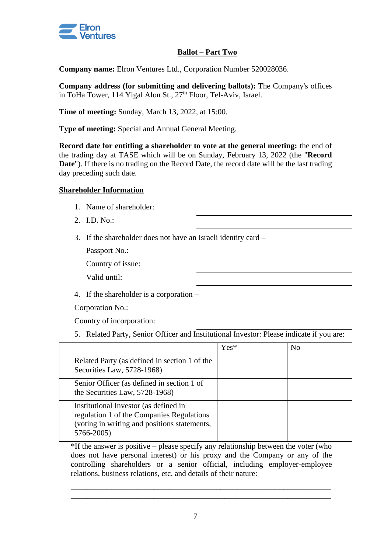

## **Ballot – Part Two**

**Company name:** Elron Ventures Ltd., Corporation Number 520028036.

**Company address (for submitting and delivering ballots):** The Company's offices in ToHa Tower, 114 Yigal Alon St.,  $27<sup>th</sup>$  Floor, Tel-Aviv, Israel.

**Time of meeting:** Sunday, March 13, 2022, at 15:00.

**Type of meeting:** Special and Annual General Meeting.

**Record date for entitling a shareholder to vote at the general meeting:** the end of the trading day at TASE which will be on Sunday, February 13, 2022 (the "**Record Date**"). If there is no trading on the Record Date, the record date will be the last trading day preceding such date.

### **Shareholder Information**

- 1. Name of shareholder:
- 2. I.D. No.:
- 3. If the shareholder does not have an Israeli identity card –

Passport No.:

Country of issue:

Valid until:

4. If the shareholder is a corporation –

Corporation No.:

Country of incorporation:

5. Related Party, Senior Officer and Institutional Investor: Please indicate if you are:

|                                                                                                                                                  | $Yes*$ | N <sub>0</sub> |
|--------------------------------------------------------------------------------------------------------------------------------------------------|--------|----------------|
| Related Party (as defined in section 1 of the<br>Securities Law, 5728-1968)                                                                      |        |                |
| Senior Officer (as defined in section 1 of<br>the Securities Law, 5728-1968)                                                                     |        |                |
| Institutional Investor (as defined in<br>regulation 1 of the Companies Regulations<br>(voting in writing and positions statements,<br>5766-2005) |        |                |

\*If the answer is positive – please specify any relationship between the voter (who does not have personal interest) or his proxy and the Company or any of the controlling shareholders or a senior official, including employer-employee relations, business relations, etc. and details of their nature:

\_\_\_\_\_\_\_\_\_\_\_\_\_\_\_\_\_\_\_\_\_\_\_\_\_\_\_\_\_\_\_\_\_\_\_\_\_\_\_\_\_\_\_\_\_\_\_\_\_\_\_\_\_\_\_\_\_\_\_\_\_\_\_\_\_\_ \_\_\_\_\_\_\_\_\_\_\_\_\_\_\_\_\_\_\_\_\_\_\_\_\_\_\_\_\_\_\_\_\_\_\_\_\_\_\_\_\_\_\_\_\_\_\_\_\_\_\_\_\_\_\_\_\_\_\_\_\_\_\_\_\_\_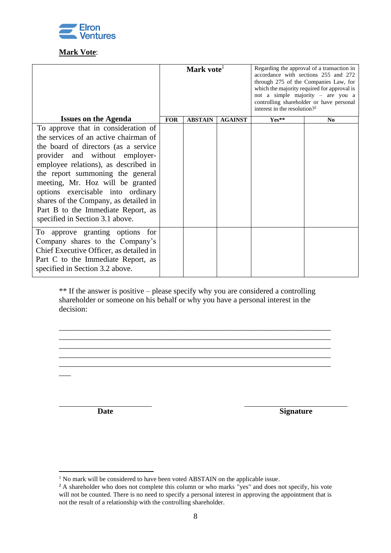

# **Mark Vote**:

| Mark vote <sup>1</sup> |                |                | Regarding the approval of a transaction in<br>accordance with sections 255 and 272<br>through 275 of the Companies Law, for<br>which the majority required for approval is<br>not a simple majority - are you a<br>controlling shareholder or have personal<br>interest in the resolution? <sup>2</sup> |                |
|------------------------|----------------|----------------|---------------------------------------------------------------------------------------------------------------------------------------------------------------------------------------------------------------------------------------------------------------------------------------------------------|----------------|
| <b>FOR</b>             | <b>ABSTAIN</b> | <b>AGAINST</b> | Yes**                                                                                                                                                                                                                                                                                                   | N <sub>0</sub> |
|                        |                |                |                                                                                                                                                                                                                                                                                                         |                |
|                        |                |                |                                                                                                                                                                                                                                                                                                         |                |
|                        |                |                |                                                                                                                                                                                                                                                                                                         |                |
|                        |                |                |                                                                                                                                                                                                                                                                                                         |                |
|                        |                |                |                                                                                                                                                                                                                                                                                                         |                |
|                        |                |                |                                                                                                                                                                                                                                                                                                         |                |
|                        |                |                |                                                                                                                                                                                                                                                                                                         |                |
|                        |                |                |                                                                                                                                                                                                                                                                                                         |                |
|                        |                |                |                                                                                                                                                                                                                                                                                                         |                |
|                        |                |                |                                                                                                                                                                                                                                                                                                         |                |
|                        |                |                |                                                                                                                                                                                                                                                                                                         |                |
|                        |                |                |                                                                                                                                                                                                                                                                                                         |                |
|                        |                |                |                                                                                                                                                                                                                                                                                                         |                |
|                        |                |                |                                                                                                                                                                                                                                                                                                         |                |
|                        |                |                |                                                                                                                                                                                                                                                                                                         |                |
|                        |                |                |                                                                                                                                                                                                                                                                                                         |                |
|                        |                |                |                                                                                                                                                                                                                                                                                                         |                |

\*\* If the answer is positive – please specify why you are considered a controlling shareholder or someone on his behalf or why you have a personal interest in the decision:

\_\_\_\_\_\_\_\_\_\_\_\_\_\_\_\_\_\_\_\_\_\_\_\_\_\_\_\_\_\_\_\_\_\_\_\_\_\_\_\_\_\_\_\_\_\_\_\_\_\_\_\_\_\_\_\_\_\_\_\_\_\_\_\_\_\_\_\_\_ \_\_\_\_\_\_\_\_\_\_\_\_\_\_\_\_\_\_\_\_\_\_\_\_\_\_\_\_\_\_\_\_\_\_\_\_\_\_\_\_\_\_\_\_\_\_\_\_\_\_\_\_\_\_\_\_\_\_\_\_\_\_\_\_\_\_\_\_\_

 $\overline{\phantom{a}}$ 

**Date Signature** 

 $1$  No mark will be considered to have been voted ABSTAIN on the applicable issue.

<sup>&</sup>lt;sup>2</sup> A shareholder who does not complete this column or who marks "yes" and does not specify, his vote will not be counted. There is no need to specify a personal interest in approving the appointment that is not the result of a relationship with the controlling shareholder.